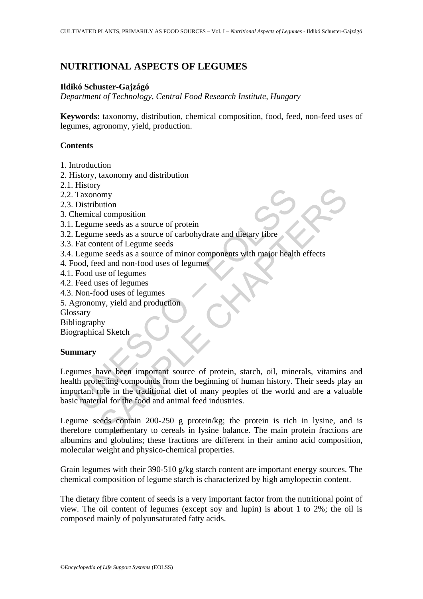# **NUTRITIONAL ASPECTS OF LEGUMES**

#### **Ildikó Schuster-Gajzágó**

*Department of Technology, Central Food Research Institute, Hungary* 

**Keywords:** taxonomy, distribution, chemical composition, food, feed, non-feed uses of legumes, agronomy, yield, production.

#### **Contents**

- 1. Introduction
- 2. History, taxonomy and distribution
- 2.1. History
- 2.2. Taxonomy
- 2.3. Distribution
- 3. Chemical composition
- 3.1. Legume seeds as a source of protein
- 3.2. Legume seeds as a source of carbohydrate and dietary fibre
- 3.3. Fat content of Legume seeds
- 3.4. Legume seeds as a source of minor components with major health effects
- 4. Food, feed and non-food uses of legumes
- 4.1. Food use of legumes
- 4.2. Feed uses of legumes
- 4.3. Non-food uses of legumes
- 5. Agronomy, yield and production
- Glossary

Bibliography

Biographical Sketch

#### **Summary**

Traxonomy<br>
Traxonomy<br>
Distribution<br>
Legume seeds as a source of protein<br>
Legume seeds as a source of carbohydrate and dietary fibre<br>
Fact content of Legume seeds<br>
Legume seeds as a source of minor components with major hea Solution<br>
Solution<br>
in composition<br>
in exeeds as a source of protein<br>
intent of Legume seeds<br>
as a source of minor components with major health effects<br>
exeeds as a source of minor components with major health effects<br>
is Legumes have been important source of protein, starch, oil, minerals, vitamins and health protecting compounds from the beginning of human history. Their seeds play an important role in the traditional diet of many peoples of the world and are a valuable basic material for the food and animal feed industries.

Legume seeds contain 200-250 g protein/kg; the protein is rich in lysine, and is therefore complementary to cereals in lysine balance. The main protein fractions are albumins and globulins; these fractions are different in their amino acid composition, molecular weight and physico-chemical properties.

Grain legumes with their 390-510 g/kg starch content are important energy sources. The chemical composition of legume starch is characterized by high amylopectin content.

The dietary fibre content of seeds is a very important factor from the nutritional point of view. The oil content of legumes (except soy and lupin) is about 1 to 2%; the oil is composed mainly of polyunsaturated fatty acids.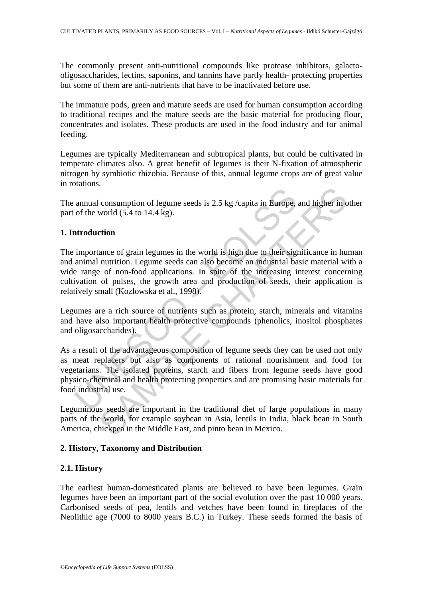The commonly present anti-nutritional compounds like protease inhibitors, galactooligosaccharides, lectins, saponins, and tannins have partly health- protecting properties but some of them are anti-nutrients that have to be inactivated before use.

The immature pods, green and mature seeds are used for human consumption according to traditional recipes and the mature seeds are the basic material for producing flour, concentrates and isolates. These products are used in the food industry and for animal feeding.

Legumes are typically Mediterranean and subtropical plants, but could be cultivated in temperate climates also. A great benefit of legumes is their N-fixation of atmospheric nitrogen by symbiotic rhizobia. Because of this, annual legume crops are of great value in rotations.

The annual consumption of legume seeds is 2.5 kg /capita in Europe, and higher in other part of the world (5.4 to 14.4 kg).

### **1. Introduction**

The importance of grain legumes in the world is high due to their significance in human and animal nutrition. Legume seeds can also become an industrial basic material with a wide range of non-food applications. In spite of the increasing interest concerning cultivation of pulses, the growth area and production of seeds, their application is relatively small (Kozlowska et al., 1998).

Legumes are a rich source of nutrients such as protein, starch, minerals and vitamins and have also important health protective compounds (phenolics, inositol phosphates and oligosaccharides).

annual consumption of legume seeds is 2.5 kg /capita in Europe,<br>of the world (5.4 to 14.4 kg).<br> **arroduction**<br>
importance of grain legumes in the world is high due to their signarianal nutrition. Legume seeds can also beco consumption of legume seeds is  $2.5$  kg /capita in Europe, and higher in coord  $(5.4$  to  $14.4$  kg).<br>
ction<br>
cance of grain legumes in the world is high due to their significance in hu<br>
nutrition. Legume seeds can also be As a result of the advantageous composition of legume seeds they can be used not only as meat replacers but also as components of rational nourishment and food for vegetarians. The isolated proteins, starch and fibers from legume seeds have good physico-chemical and health protecting properties and are promising basic materials for food industrial use.

Leguminous seeds are important in the traditional diet of large populations in many parts of the world, for example soybean in Asia, lentils in India, black bean in South America, chickpea in the Middle East, and pinto bean in Mexico.

### **2. History, Taxonomy and Distribution**

### **2.1. History**

The earliest human-domesticated plants are believed to have been legumes. Grain legumes have been an important part of the social evolution over the past 10 000 years. Carbonised seeds of pea, lentils and vetches have been found in fireplaces of the Neolithic age (7000 to 8000 years B.C.) in Turkey. These seeds formed the basis of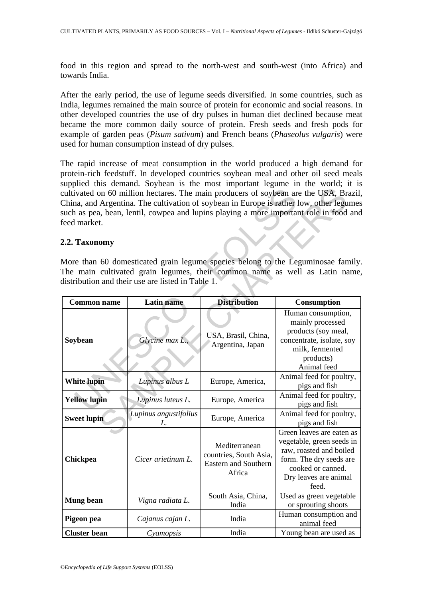food in this region and spread to the north-west and south-west (into Africa) and towards India.

After the early period, the use of legume seeds diversified. In some countries, such as India, legumes remained the main source of protein for economic and social reasons. In other developed countries the use of dry pulses in human diet declined because meat became the more common daily source of protein. Fresh seeds and fresh pods for example of garden peas (*Pisum sativum*) and French beans (*Phaseolus vulgaris*) were used for human consumption instead of dry pulses.

The rapid increase of meat consumption in the world produced a high demand for protein-rich feedstuff. In developed countries soybean meal and other oil seed meals supplied this demand. Soybean is the most important legume in the world; it is cultivated on 60 million hectares. The main producers of soybean are the USA, Brazil, China, and Argentina. The cultivation of soybean in Europe is rather low, other legumes such as pea, bean, lentil, cowpea and lupins playing a more important role in food and feed market.

#### **2.2. Taxonomy**

| feed market.                                                                                                                                                                                                       |                             |                                                                           | cultivated on 60 million hectares. The main producers of soybean are the USA, Brazil<br>China, and Argentina. The cultivation of soybean in Europe is rather low, other legumes<br>such as pea, bean, lentil, cowpea and lupins playing a more important role in food and |  |  |
|--------------------------------------------------------------------------------------------------------------------------------------------------------------------------------------------------------------------|-----------------------------|---------------------------------------------------------------------------|---------------------------------------------------------------------------------------------------------------------------------------------------------------------------------------------------------------------------------------------------------------------------|--|--|
| 2.2. Taxonomy                                                                                                                                                                                                      |                             |                                                                           |                                                                                                                                                                                                                                                                           |  |  |
| More than 60 domesticated grain legume species belong to the Leguminosae family<br>The main cultivated grain legumes, their common name as well as Latin name<br>distribution and their use are listed in Table 1. |                             |                                                                           |                                                                                                                                                                                                                                                                           |  |  |
| <b>Common name</b>                                                                                                                                                                                                 | <b>Latin</b> name           | <b>Distribution</b>                                                       | Consumption                                                                                                                                                                                                                                                               |  |  |
| Soybean                                                                                                                                                                                                            | Glycine max L.,             | USA, Brasil, China,<br>Argentina, Japan                                   | Human consumption,<br>mainly processed<br>products (soy meal,<br>concentrate, isolate, soy<br>milk, fermented<br>products)<br>Animal feed                                                                                                                                 |  |  |
| <b>White lupin</b>                                                                                                                                                                                                 | Lupinus albus L             | Europe, America,                                                          | Animal feed for poultry,<br>pigs and fish                                                                                                                                                                                                                                 |  |  |
| <b>Yellow lupin</b>                                                                                                                                                                                                | Lupinus luteus L.           | Europe, America                                                           | Animal feed for poultry,<br>pigs and fish                                                                                                                                                                                                                                 |  |  |
| <b>Sweet lupin</b>                                                                                                                                                                                                 | Lupinus angustifolius<br>L. | Europe, America                                                           | Animal feed for poultry,<br>pigs and fish                                                                                                                                                                                                                                 |  |  |
| Chickpea                                                                                                                                                                                                           | Cicer arietinum L.          | Mediterranean<br>countries, South Asia,<br>Eastern and Southern<br>Africa | Green leaves are eaten as<br>vegetable, green seeds in<br>raw, roasted and boiled<br>form. The dry seeds are<br>cooked or canned.<br>Dry leaves are animal<br>feed.                                                                                                       |  |  |
| <b>Mung bean</b>                                                                                                                                                                                                   | Vigna radiata L.            | South Asia, China,<br>India                                               | Used as green vegetable<br>or sprouting shoots                                                                                                                                                                                                                            |  |  |
| Pigeon pea                                                                                                                                                                                                         | Cajanus cajan L.            | India                                                                     | Human consumption and<br>animal feed                                                                                                                                                                                                                                      |  |  |
| <b>Cluster</b> bean                                                                                                                                                                                                | Cyamopsis                   | India                                                                     | Young bean are used as                                                                                                                                                                                                                                                    |  |  |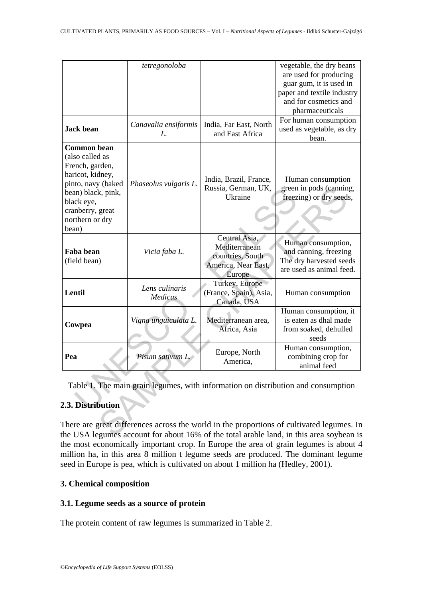|                                                                                                                                                                                        | tetregonoloba              |                                                                                     | vegetable, the dry beans<br>are used for producing<br>guar gum, it is used in<br>paper and textile industry<br>and for cosmetics and<br>pharmaceuticals |  |
|----------------------------------------------------------------------------------------------------------------------------------------------------------------------------------------|----------------------------|-------------------------------------------------------------------------------------|---------------------------------------------------------------------------------------------------------------------------------------------------------|--|
| <b>Jack bean</b>                                                                                                                                                                       | Canavalia ensiformis<br>L. | India, Far East, North<br>and East Africa                                           | For human consumption<br>used as vegetable, as dry<br>bean.                                                                                             |  |
| <b>Common bean</b><br>(also called as<br>French, garden,<br>haricot, kidney,<br>pinto, navy (baked<br>bean) black, pink,<br>black eye,<br>cranberry, great<br>northern or dry<br>bean) | Phaseolus vulgaris L.      | India, Brazil, France,<br>Russia, German, UK,<br>Ukraine                            | Human consumption<br>green in pods (canning,<br>freezing) or dry seeds,                                                                                 |  |
| Faba bean<br>(field bean)                                                                                                                                                              | Vicia faba L.              | Central Asia,<br>Mediterranean<br>countries, South<br>America, Near East,<br>Europe | Human consumption,<br>and canning, freezing<br>The dry harvested seeds<br>are used as animal feed.                                                      |  |
| Lentil                                                                                                                                                                                 | Lens culinaris<br>Medicus  | Turkey, Europe<br>(France, Spain), Asia,<br>Canada, USA                             | Human consumption                                                                                                                                       |  |
| Cowpea                                                                                                                                                                                 | Vigna unguiculata L.       | Mediterranean area,<br>Africa, Asia                                                 | Human consumption, it<br>is eaten as dhal made<br>from soaked, dehulled<br>seeds                                                                        |  |
| Pea                                                                                                                                                                                    | Pisum sativum L.           | Europe, North<br>America,                                                           | Human consumption,<br>combining crop for<br>animal feed                                                                                                 |  |
| Table 1. The main grain legumes, with information on distribution and consumption                                                                                                      |                            |                                                                                     |                                                                                                                                                         |  |
| 2.3. Distribution                                                                                                                                                                      |                            |                                                                                     |                                                                                                                                                         |  |
| There are great differences across the world in the proportions of cultivated legumes. In<br>the USA legumes account for about 16% of the total arable land, in this area sovbean is   |                            |                                                                                     |                                                                                                                                                         |  |

## **2.3. Distribution**

There are great differences across the world in the proportions of cultivated legumes. In the USA legumes account for about 16% of the total arable land, in this area soybean is the most economically important crop. In Europe the area of grain legumes is about 4 million ha, in this area 8 million t legume seeds are produced. The dominant legume seed in Europe is pea, which is cultivated on about 1 million ha (Hedley, 2001).

## **3. Chemical composition**

### **3.1. Legume seeds as a source of protein**

The protein content of raw legumes is summarized in Table 2.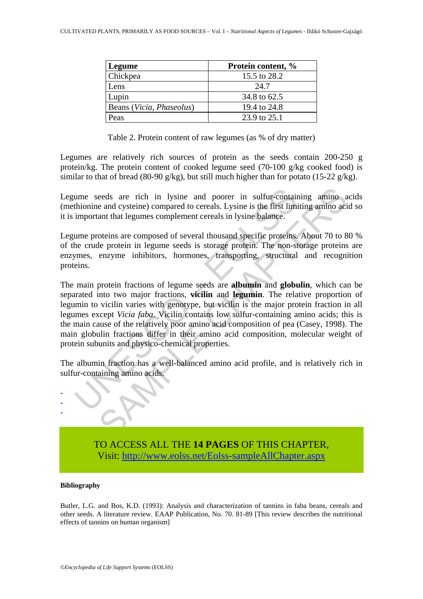| Legume                   | Protein content, % |
|--------------------------|--------------------|
| Chickpea                 | 15.5 to 28.2       |
| Lens                     | 24.7               |
| Lupin                    | 34.8 to 62.5       |
| Beans (Vicia, Phaseolus) | 19.4 to 24.8       |
| Peas                     | 23.9 to 25.1       |

Table 2. Protein content of raw legumes (as % of dry matter)

Legumes are relatively rich sources of protein as the seeds contain 200-250 g protein/kg. The protein content of cooked legume seed (70-100 g/kg cooked food) is similar to that of bread (80-90 g/kg), but still much higher than for potato (15-22 g/kg).

Legume seeds are rich in lysine and poorer in sulfur-containing amino acids (methionine and cysteine) compared to cereals. Lysine is the first limiting amino acid so it is important that legumes complement cereals in lysine balance.

Legume proteins are composed of several thousand specific proteins. About 70 to 80 % of the crude protein in legume seeds is storage protein. The non-storage proteins are enzymes, enzyme inhibitors, hormones, transporting, structural and recognition proteins.

ume seeds are rich in lysine and poorer in sulfur-contain<br>thionine and cysteine) compared to cereals. Lysine is the first limi<br>important that legumes complement cereals in lysine balance.<br>ume proteins are composed of sever eeds are rich in lysine and poorer in sulfur-containing amino a<br>e and cysteine) compared to cereals. Lysine is the first limiting amino aci<br>ant that legumes complement cereals in lysine balance.<br>Oteins are composed of seve The main protein fractions of legume seeds are **albumin** and **globulin**, which can be separated into two major fractions, **vicilin** and **legumin**. The relative proportion of legumin to vicilin varies with genotype, but vicilin is the major protein fraction in all legumes except *Vicia faba*. Vicilin contains low sulfur-containing amino acids; this is the main cause of the relatively poor amino acid composition of pea (Casey, 1998). The main globulin fractions differ in their amino acid composition, molecular weight of protein subunits and physico-chemical properties.

The albumin fraction has a well-balanced amino acid profile, and is relatively rich in sulfur-containing amino acids.



#### **Bibliography**

- - -

Butler, L.G. and Bos, K.D. (1993): Analysis and characterization of tannins in faba beans, cereals and other seeds. A literature review. EAAP Publication, No. 70. 81-89 [This review describes the nutritional effects of tannins on human organism]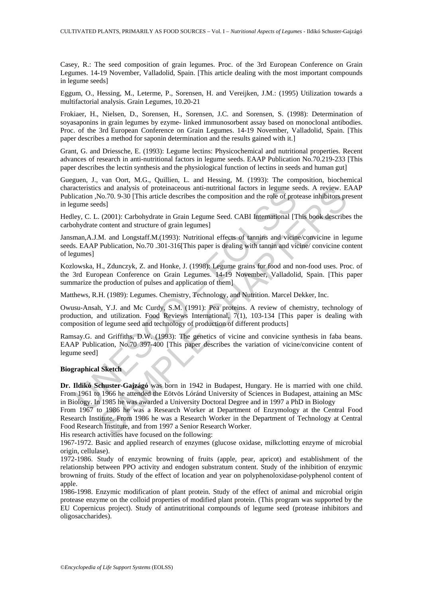Casey, R.: The seed composition of grain legumes. Proc. of the 3rd European Conference on Grain Legumes. 14-19 November, Valladolid, Spain. [This article dealing with the most important compounds in legume seeds]

Eggum, O., Hessing, M., Leterme, P., Sorensen, H. and Vereijken, J.M.: (1995) Utilization towards a multifactorial analysis. Grain Legumes, 10.20-21

Frokiaer, H., Nielsen, D., Sorensen, H., Sorensen, J.C. and Sorensen, S. (1998): Determination of soyasaponins in grain legumes by ezyme- linked immunosorbent assay based on monoclonal antibodies. Proc. of the 3rd European Conference on Grain Legumes. 14-19 November, Valladolid, Spain. [This paper describes a method for saponin determination and the results gained with it.]

Grant, G. and Driessche, E. (1993): Legume lectins: Physicochemical and nutritional properties. Recent advances of research in anti-nutritional factors in legume seeds. EAAP Publication No.70.219-233 [This paper describes the lectin synthesis and the physiological function of lectins in seeds and human gut]

Gueguen, J., van Oort, M.G., Quillien, L. and Hessing, M. (1993): The composition, biochemical characteristics and analysis of proteinaceous anti-nutritional factors in legume seeds. A review. EAAP Publication ,No.70. 9-30 [This article describes the composition and the role of protease inhibitors present in legume seeds]

Hedley, C. L. (2001): Carbohydrate in Grain Legume Seed. CABI International [This book describes the carbohydrate content and structure of grain legumes]

Jansman,A.J.M. and Longstaff.M.(1993): Nutritional effects of tannins and vicine/convicine in legume seeds. EAAP Publication, No.70 .301-316[This paper is dealing with tannin and vicine/ convicine content of legumes]

Kozlowska, H., Zdunczyk, Z. and Honke, J. (1998): Legume grains for food and non-food uses. Proc. of the 3rd European Conference on Grain Legumes. 14-19 November, Valladolid, Spain. [This paper summarize the production of pulses and application of them]

Matthews, R.H. (1989): Legumes. Chemistry, Technology, and Nutrition. Marcel Dekker, Inc.

icleristies and analysis of proteinaceous anti-nutritional factors in legume secteristics and analysis of proteinaceous anti-nutritional factors in legume seeds<br>ey, C. L. (2001): Carbohydrate in Grain Legume Seed. CABI Int Owusu-Ansah, Y.J. and Mc Curdy, S.M. (1991): Pea proteins. A review of chemistry, technology of production, and utilization. Food Reviews International, 7(1), 103-134 [This paper is dealing with composition of legume seed and technology of production of different products]

Ramsay.G. and Griffiths, D.W. (1993): The genetics of vicine and convicine synthesis in faba beans. EAAP Publication, No.70 397-400 [This paper describes the variation of vicine/convicine content of legume seed]

#### **Biographical Sketch**

**Dr. Ildikó Schuster-Gajzágó** was born in 1942 in Budapest, Hungary. He is married with one child. From 1961 to 1966 he attended the Eötvös Lóránd University of Sciences in Budapest, attaining an MSc in Biology. In 1985 he was awarded a University Doctoral Degree and in 1997 a PhD in Biology

s and analysis of proteinaceous anti-nutritional factors in legume seeds. A review. E<br>so not analysis of proteinaceous anti-nutritional factors in legum of every seeds. A review, E<br>ds1<br>(2001): Carbohydrate in Grain Legume From 1967 to 1986 he was a Research Worker at Department of Enzymology at the Central Food Research Institute. From 1986 he was a Research Worker in the Department of Technology at Central Food Research Institute, and from 1997 a Senior Research Worker.

His research activities have focused on the following:

1967-1972. Basic and applied research of enzymes (glucose oxidase, milkclotting enzyme of microbial origin, cellulase).

1972-1986. Study of enzymic browning of fruits (apple, pear, apricot) and establishment of the relationship between PPO activity and endogen substratum content. Study of the inhibition of enzymic browning of fruits. Study of the effect of location and year on polyphenoloxidase-polyphenol content of apple.

1986-1998. Enzymic modification of plant protein. Study of the effect of animal and microbial origin protease enzyme on the colloid properties of modified plant protein. (This program was supported by the EU Copernicus project). Study of antinutritional compounds of legume seed (protease inhibitors and oligosaccharides).